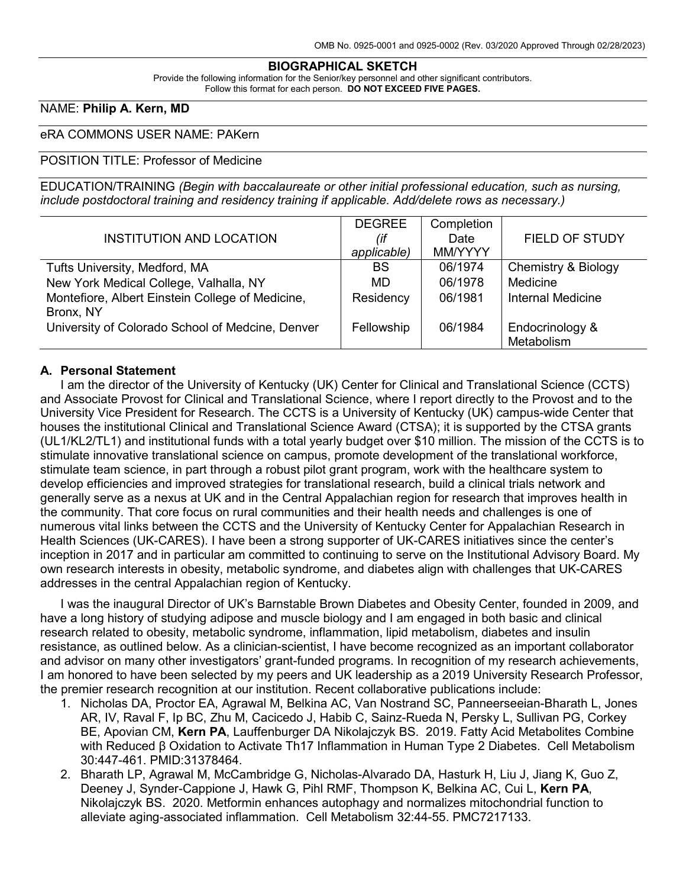#### **BIOGRAPHICAL SKETCH**

Provide the following information for the Senior/key personnel and other significant contributors. Follow this format for each person. **DO NOT EXCEED FIVE PAGES.**

### NAME: **Philip A. Kern, MD**

### eRA COMMONS USER NAME: PAKern

### POSITION TITLE: Professor of Medicine

EDUCATION/TRAINING *(Begin with baccalaureate or other initial professional education, such as nursing, include postdoctoral training and residency training if applicable. Add/delete rows as necessary.)*

|                                                  | <b>DEGREE</b> | Completion |                          |
|--------------------------------------------------|---------------|------------|--------------------------|
| <b>INSTITUTION AND LOCATION</b>                  | (if           | Date       | <b>FIELD OF STUDY</b>    |
|                                                  | applicable)   | MM/YYYY    |                          |
| Tufts University, Medford, MA                    | <b>BS</b>     | 06/1974    | Chemistry & Biology      |
| New York Medical College, Valhalla, NY           | MD            | 06/1978    | Medicine                 |
| Montefiore, Albert Einstein College of Medicine, | Residency     | 06/1981    | <b>Internal Medicine</b> |
| Bronx, NY                                        |               |            |                          |
| University of Colorado School of Medcine, Denver | Fellowship    | 06/1984    | Endocrinology &          |
|                                                  |               |            | Metabolism               |

### **A. Personal Statement**

I am the director of the University of Kentucky (UK) Center for Clinical and Translational Science (CCTS) and Associate Provost for Clinical and Translational Science, where I report directly to the Provost and to the University Vice President for Research. The CCTS is a University of Kentucky (UK) campus-wide Center that houses the institutional Clinical and Translational Science Award (CTSA); it is supported by the CTSA grants (UL1/KL2/TL1) and institutional funds with a total yearly budget over \$10 million. The mission of the CCTS is to stimulate innovative translational science on campus, promote development of the translational workforce, stimulate team science, in part through a robust pilot grant program, work with the healthcare system to develop efficiencies and improved strategies for translational research, build a clinical trials network and generally serve as a nexus at UK and in the Central Appalachian region for research that improves health in the community. That core focus on rural communities and their health needs and challenges is one of numerous vital links between the CCTS and the University of Kentucky Center for Appalachian Research in Health Sciences (UK-CARES). I have been a strong supporter of UK-CARES initiatives since the center's inception in 2017 and in particular am committed to continuing to serve on the Institutional Advisory Board. My own research interests in obesity, metabolic syndrome, and diabetes align with challenges that UK-CARES addresses in the central Appalachian region of Kentucky.

I was the inaugural Director of UK's Barnstable Brown Diabetes and Obesity Center, founded in 2009, and have a long history of studying adipose and muscle biology and I am engaged in both basic and clinical research related to obesity, metabolic syndrome, inflammation, lipid metabolism, diabetes and insulin resistance, as outlined below. As a clinician-scientist, I have become recognized as an important collaborator and advisor on many other investigators' grant-funded programs. In recognition of my research achievements, I am honored to have been selected by my peers and UK leadership as a 2019 University Research Professor, the premier research recognition at our institution. Recent collaborative publications include:

- 1. Nicholas DA, Proctor EA, Agrawal M, Belkina AC, Van Nostrand SC, Panneerseeian-Bharath L, Jones AR, IV, Raval F, Ip BC, Zhu M, Cacicedo J, Habib C, Sainz-Rueda N, Persky L, Sullivan PG, Corkey BE, Apovian CM, **Kern PA**, Lauffenburger DA Nikolajczyk BS. 2019. Fatty Acid Metabolites Combine with Reduced β Oxidation to Activate Th17 Inflammation in Human Type 2 Diabetes. Cell Metabolism 30:447-461. PMID:31378464.
- 2. Bharath LP, Agrawal M, McCambridge G, Nicholas-Alvarado DA, Hasturk H, Liu J, Jiang K, Guo Z, Deeney J, Synder-Cappione J, Hawk G, Pihl RMF, Thompson K, Belkina AC, Cui L, **Kern PA**, Nikolajczyk BS. 2020. Metformin enhances autophagy and normalizes mitochondrial function to alleviate aging-associated inflammation. Cell Metabolism 32:44-55. PMC7217133.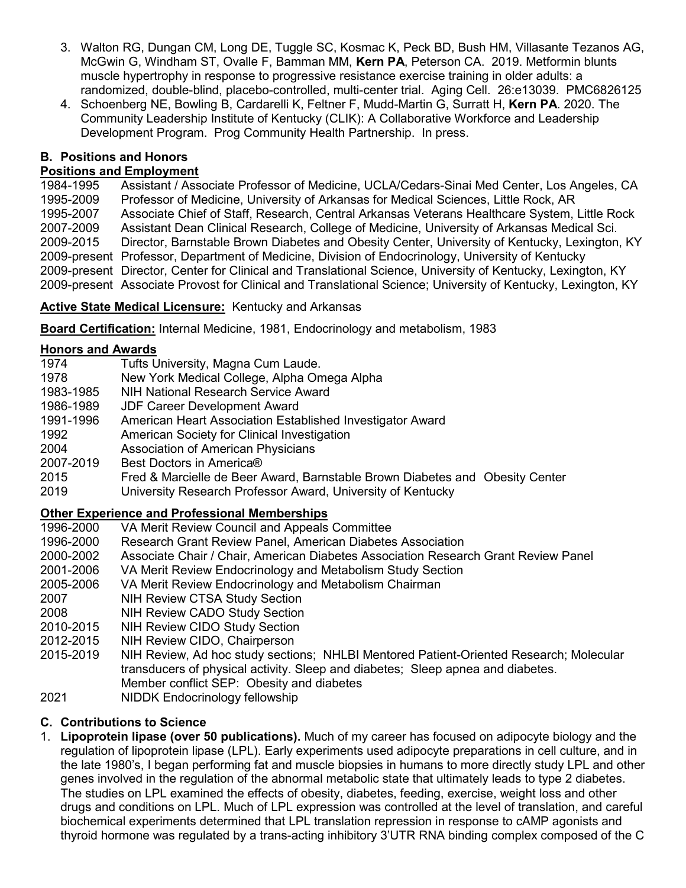- 3. Walton RG, Dungan CM, Long DE, Tuggle SC, Kosmac K, Peck BD, Bush HM, Villasante Tezanos AG, McGwin G, Windham ST, Ovalle F, Bamman MM, **Kern PA**, Peterson CA. 2019. Metformin blunts muscle hypertrophy in response to progressive resistance exercise training in older adults: a randomized, double-blind, placebo-controlled, multi-center trial. Aging Cell. 26:e13039. PMC6826125
- 4. Schoenberg NE, Bowling B, Cardarelli K, Feltner F, Mudd-Martin G, Surratt H, **Kern PA**. 2020. The Community Leadership Institute of Kentucky (CLIK): A Collaborative Workforce and Leadership Development Program. Prog Community Health Partnership. In press.

## **B. Positions and Honors**

# **Positions and Employment**<br>1984-1995 Assistant / Ass

Assistant / Associate Professor of Medicine, UCLA/Cedars-Sinai Med Center, Los Angeles, CA 1995-2009 Professor of Medicine, University of Arkansas for Medical Sciences, Little Rock, AR 1995-2007 Associate Chief of Staff, Research, Central Arkansas Veterans Healthcare System, Little Rock Assistant Dean Clinical Research, College of Medicine, University of Arkansas Medical Sci. 2009-2015 Director, Barnstable Brown Diabetes and Obesity Center, University of Kentucky, Lexington, KY 2009-present Professor, Department of Medicine, Division of Endocrinology, University of Kentucky 2009-present Director, Center for Clinical and Translational Science, University of Kentucky, Lexington, KY 2009-present Associate Provost for Clinical and Translational Science; University of Kentucky, Lexington, KY

## **Active State Medical Licensure:** Kentucky and Arkansas

**Board Certification:** Internal Medicine, 1981, Endocrinology and metabolism, 1983

## **Honors and Awards**

| 1974      | Tufts University, Magna Cum Laude.                                           |
|-----------|------------------------------------------------------------------------------|
| 1978      | New York Medical College, Alpha Omega Alpha                                  |
| 1983-1985 | <b>NIH National Research Service Award</b>                                   |
| 1986-1989 | <b>JDF Career Development Award</b>                                          |
| 1991-1996 | American Heart Association Established Investigator Award                    |
| 1992      | American Society for Clinical Investigation                                  |
| 2004      | <b>Association of American Physicians</b>                                    |
| 2007-2019 | Best Doctors in America®                                                     |
| 2015      | Fred & Marcielle de Beer Award, Barnstable Brown Diabetes and Obesity Center |
| 2019      | University Research Professor Award, University of Kentucky                  |
|           |                                                                              |

## **Other Experience and Professional Memberships**

- 1996-2000 VA Merit Review Council and Appeals Committee
- 1996-2000 Research Grant Review Panel, American Diabetes Association
- 2000-2002 Associate Chair / Chair, American Diabetes Association Research Grant Review Panel
- 2001-2006 VA Merit Review Endocrinology and Metabolism Study Section
- 2005-2006 VA Merit Review Endocrinology and Metabolism Chairman
- 2007 NIH Review CTSA Study Section
- 2008 NIH Review CADO Study Section
- 2010-2015 NIH Review CIDO Study Section<br>2012-2015 NIH Review CIDO, Chairperson
- NIH Review CIDO, Chairperson
- 2015-2019 NIH Review, Ad hoc study sections; NHLBI Mentored Patient-Oriented Research; Molecular transducers of physical activity. Sleep and diabetes; Sleep apnea and diabetes. Member conflict SEP: Obesity and diabetes
- 2021 NIDDK Endocrinology fellowship

## **C. Contributions to Science**

1. **Lipoprotein lipase (over 50 publications).** Much of my career has focused on adipocyte biology and the regulation of lipoprotein lipase (LPL). Early experiments used adipocyte preparations in cell culture, and in the late 1980's, I began performing fat and muscle biopsies in humans to more directly study LPL and other genes involved in the regulation of the abnormal metabolic state that ultimately leads to type 2 diabetes. The studies on LPL examined the effects of obesity, diabetes, feeding, exercise, weight loss and other drugs and conditions on LPL. Much of LPL expression was controlled at the level of translation, and careful biochemical experiments determined that LPL translation repression in response to cAMP agonists and thyroid hormone was regulated by a trans-acting inhibitory 3'UTR RNA binding complex composed of the C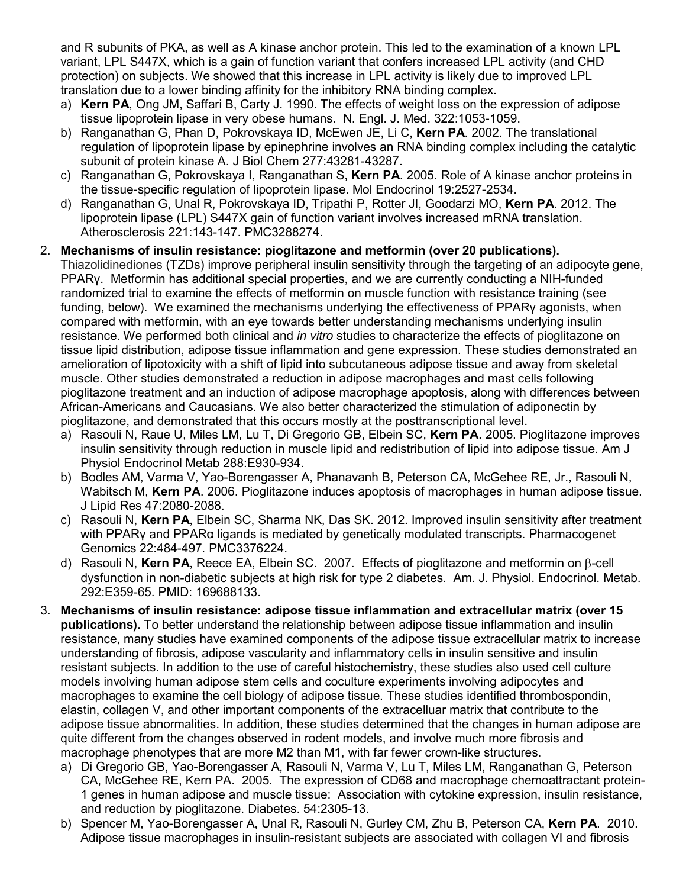and R subunits of PKA, as well as A kinase anchor protein. This led to the examination of a known LPL variant, LPL S447X, which is a gain of function variant that confers increased LPL activity (and CHD protection) on subjects. We showed that this increase in LPL activity is likely due to improved LPL translation due to a lower binding affinity for the inhibitory RNA binding complex.

- a) **Kern PA**, Ong JM, Saffari B, Carty J. 1990. The effects of weight loss on the expression of adipose tissue lipoprotein lipase in very obese humans. N. Engl. J. Med. 322:1053-1059.
- b) Ranganathan G, Phan D, Pokrovskaya ID, McEwen JE, Li C, **Kern PA**. 2002. The translational regulation of lipoprotein lipase by epinephrine involves an RNA binding complex including the catalytic subunit of protein kinase A. J Biol Chem 277:43281-43287.
- c) Ranganathan G, Pokrovskaya I, Ranganathan S, **Kern PA**. 2005. Role of A kinase anchor proteins in the tissue-specific regulation of lipoprotein lipase. Mol Endocrinol 19:2527-2534.
- d) Ranganathan G, Unal R, Pokrovskaya ID, Tripathi P, Rotter JI, Goodarzi MO, **Kern PA**. 2012. The lipoprotein lipase (LPL) S447X gain of function variant involves increased mRNA translation. Atherosclerosis 221:143-147. PMC3288274.

## 2. **Mechanisms of insulin resistance: pioglitazone and metformin (over 20 publications).**

Thiazolidinediones (TZDs) improve peripheral insulin sensitivity through the targeting of an adipocyte gene, PPARγ. Metformin has additional special properties, and we are currently conducting a NIH-funded randomized trial to examine the effects of metformin on muscle function with resistance training (see funding, below). We examined the mechanisms underlying the effectiveness of PPARγ agonists, when compared with metformin, with an eye towards better understanding mechanisms underlying insulin resistance. We performed both clinical and *in vitro* studies to characterize the effects of pioglitazone on tissue lipid distribution, adipose tissue inflammation and gene expression. These studies demonstrated an amelioration of lipotoxicity with a shift of lipid into subcutaneous adipose tissue and away from skeletal muscle. Other studies demonstrated a reduction in adipose macrophages and mast cells following pioglitazone treatment and an induction of adipose macrophage apoptosis, along with differences between African-Americans and Caucasians. We also better characterized the stimulation of adiponectin by pioglitazone, and demonstrated that this occurs mostly at the posttranscriptional level.

- a) Rasouli N, Raue U, Miles LM, Lu T, Di Gregorio GB, Elbein SC, **Kern PA**. 2005. Pioglitazone improves insulin sensitivity through reduction in muscle lipid and redistribution of lipid into adipose tissue. Am J Physiol Endocrinol Metab 288:E930-934.
- b) Bodles AM, Varma V, Yao-Borengasser A, Phanavanh B, Peterson CA, McGehee RE, Jr., Rasouli N, Wabitsch M, **Kern PA**. 2006. Pioglitazone induces apoptosis of macrophages in human adipose tissue. J Lipid Res 47:2080-2088.
- c) Rasouli N, **Kern PA**, Elbein SC, Sharma NK, Das SK. 2012. Improved insulin sensitivity after treatment with PPARγ and PPARα ligands is mediated by genetically modulated transcripts. Pharmacogenet Genomics 22:484-497. PMC3376224.
- d) Rasouli N, **Kern PA**, Reece EA, Elbein SC. 2007. Effects of pioglitazone and metformin on β-cell dysfunction in non-diabetic subjects at high risk for type 2 diabetes. Am. J. Physiol. Endocrinol. Metab. 292:E359-65. PMID: 169688133.
- 3. **Mechanisms of insulin resistance: adipose tissue inflammation and extracellular matrix (over 15 publications).** To better understand the relationship between adipose tissue inflammation and insulin resistance, many studies have examined components of the adipose tissue extracellular matrix to increase understanding of fibrosis, adipose vascularity and inflammatory cells in insulin sensitive and insulin resistant subjects. In addition to the use of careful histochemistry, these studies also used cell culture models involving human adipose stem cells and coculture experiments involving adipocytes and macrophages to examine the cell biology of adipose tissue. These studies identified thrombospondin, elastin, collagen V, and other important components of the extracelluar matrix that contribute to the adipose tissue abnormalities. In addition, these studies determined that the changes in human adipose are quite different from the changes observed in rodent models, and involve much more fibrosis and macrophage phenotypes that are more M2 than M1, with far fewer crown-like structures.
	- a) Di Gregorio GB, Yao-Borengasser A, Rasouli N, Varma V, Lu T, Miles LM, Ranganathan G, Peterson CA, McGehee RE, Kern PA. 2005. The expression of CD68 and macrophage chemoattractant protein-1 genes in human adipose and muscle tissue: Association with cytokine expression, insulin resistance, and reduction by pioglitazone. Diabetes. 54:2305-13.
	- b) Spencer M, Yao-Borengasser A, Unal R, Rasouli N, Gurley CM, Zhu B, Peterson CA, **Kern PA**. 2010. Adipose tissue macrophages in insulin-resistant subjects are associated with collagen VI and fibrosis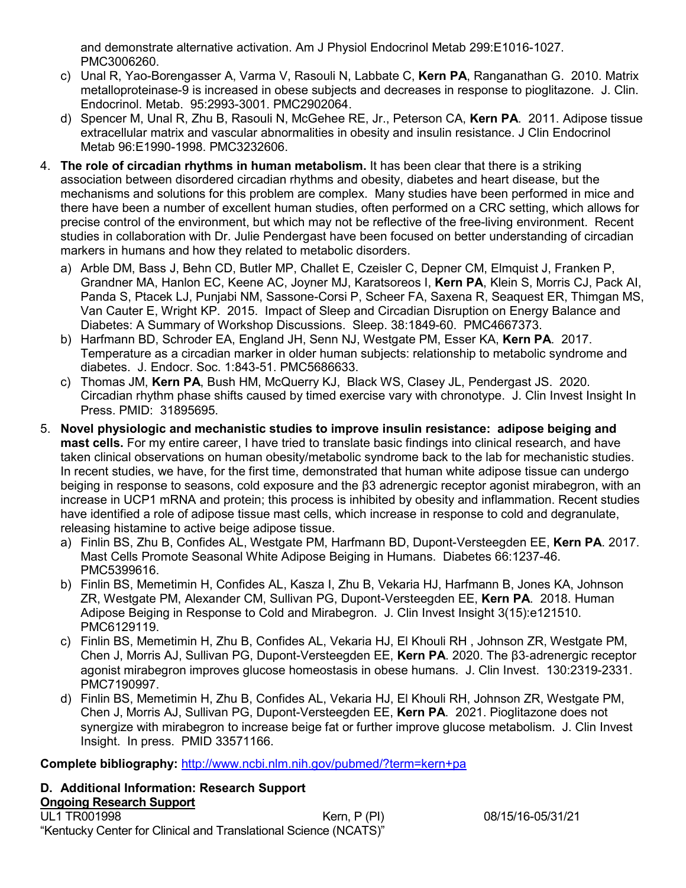and demonstrate alternative activation. Am J Physiol Endocrinol Metab 299:E1016-1027. PMC3006260.

- c) Unal R, Yao-Borengasser A, Varma V, Rasouli N, Labbate C, **Kern PA**, Ranganathan G. 2010. Matrix metalloproteinase-9 is increased in obese subjects and decreases in response to pioglitazone. J. Clin. Endocrinol. Metab. 95:2993-3001. PMC2902064.
- d) Spencer M, Unal R, Zhu B, Rasouli N, McGehee RE, Jr., Peterson CA, **Kern PA**. 2011. Adipose tissue extracellular matrix and vascular abnormalities in obesity and insulin resistance. J Clin Endocrinol Metab 96:E1990-1998. PMC3232606.
- 4. **The role of circadian rhythms in human metabolism.** It has been clear that there is a striking association between disordered circadian rhythms and obesity, diabetes and heart disease, but the mechanisms and solutions for this problem are complex. Many studies have been performed in mice and there have been a number of excellent human studies, often performed on a CRC setting, which allows for precise control of the environment, but which may not be reflective of the free-living environment. Recent studies in collaboration with Dr. Julie Pendergast have been focused on better understanding of circadian markers in humans and how they related to metabolic disorders.
	- a) [Arble DM,](http://www.ncbi.nlm.nih.gov/pubmed/?term=Arble%20DM%5BAuthor%5D&cauthor=true&cauthor_uid=26564131) [Bass J,](http://www.ncbi.nlm.nih.gov/pubmed/?term=Bass%20J%5BAuthor%5D&cauthor=true&cauthor_uid=26564131) [Behn CD,](http://www.ncbi.nlm.nih.gov/pubmed/?term=Behn%20CD%5BAuthor%5D&cauthor=true&cauthor_uid=26564131) [Butler MP,](http://www.ncbi.nlm.nih.gov/pubmed/?term=Butler%20MP%5BAuthor%5D&cauthor=true&cauthor_uid=26564131) [Challet E,](http://www.ncbi.nlm.nih.gov/pubmed/?term=Challet%20E%5BAuthor%5D&cauthor=true&cauthor_uid=26564131) [Czeisler C,](http://www.ncbi.nlm.nih.gov/pubmed/?term=Czeisler%20C%5BAuthor%5D&cauthor=true&cauthor_uid=26564131) [Depner CM,](http://www.ncbi.nlm.nih.gov/pubmed/?term=Depner%20CM%5BAuthor%5D&cauthor=true&cauthor_uid=26564131) [Elmquist J,](http://www.ncbi.nlm.nih.gov/pubmed/?term=Elmquist%20J%5BAuthor%5D&cauthor=true&cauthor_uid=26564131) [Franken P,](http://www.ncbi.nlm.nih.gov/pubmed/?term=Franken%20P%5BAuthor%5D&cauthor=true&cauthor_uid=26564131) [Grandner MA,](http://www.ncbi.nlm.nih.gov/pubmed/?term=Grandner%20MA%5BAuthor%5D&cauthor=true&cauthor_uid=26564131) [Hanlon EC,](http://www.ncbi.nlm.nih.gov/pubmed/?term=Hanlon%20EC%5BAuthor%5D&cauthor=true&cauthor_uid=26564131) [Keene AC,](http://www.ncbi.nlm.nih.gov/pubmed/?term=Keene%20AC%5BAuthor%5D&cauthor=true&cauthor_uid=26564131) [Joyner MJ,](http://www.ncbi.nlm.nih.gov/pubmed/?term=Joyner%20MJ%5BAuthor%5D&cauthor=true&cauthor_uid=26564131) [Karatsoreos I,](http://www.ncbi.nlm.nih.gov/pubmed/?term=Karatsoreos%20I%5BAuthor%5D&cauthor=true&cauthor_uid=26564131) **[Kern PA](http://www.ncbi.nlm.nih.gov/pubmed/?term=Kern%20PA%5BAuthor%5D&cauthor=true&cauthor_uid=26564131)**, [Klein S,](http://www.ncbi.nlm.nih.gov/pubmed/?term=Klein%20S%5BAuthor%5D&cauthor=true&cauthor_uid=26564131) [Morris CJ,](http://www.ncbi.nlm.nih.gov/pubmed/?term=Morris%20CJ%5BAuthor%5D&cauthor=true&cauthor_uid=26564131) [Pack AI,](http://www.ncbi.nlm.nih.gov/pubmed/?term=Pack%20AI%5BAuthor%5D&cauthor=true&cauthor_uid=26564131) [Panda S,](http://www.ncbi.nlm.nih.gov/pubmed/?term=Panda%20S%5BAuthor%5D&cauthor=true&cauthor_uid=26564131) [Ptacek LJ,](http://www.ncbi.nlm.nih.gov/pubmed/?term=Ptacek%20LJ%5BAuthor%5D&cauthor=true&cauthor_uid=26564131) [Punjabi NM,](http://www.ncbi.nlm.nih.gov/pubmed/?term=Punjabi%20NM%5BAuthor%5D&cauthor=true&cauthor_uid=26564131) [Sassone-Corsi P,](http://www.ncbi.nlm.nih.gov/pubmed/?term=Sassone-Corsi%20P%5BAuthor%5D&cauthor=true&cauthor_uid=26564131) [Scheer FA,](http://www.ncbi.nlm.nih.gov/pubmed/?term=Scheer%20FA%5BAuthor%5D&cauthor=true&cauthor_uid=26564131) [Saxena R,](http://www.ncbi.nlm.nih.gov/pubmed/?term=Saxena%20R%5BAuthor%5D&cauthor=true&cauthor_uid=26564131) [Seaquest ER,](http://www.ncbi.nlm.nih.gov/pubmed/?term=Seaquest%20ER%5BAuthor%5D&cauthor=true&cauthor_uid=26564131) [Thimgan MS,](http://www.ncbi.nlm.nih.gov/pubmed/?term=Thimgan%20MS%5BAuthor%5D&cauthor=true&cauthor_uid=26564131) [Van Cauter E,](http://www.ncbi.nlm.nih.gov/pubmed/?term=Van%20Cauter%20E%5BAuthor%5D&cauthor=true&cauthor_uid=26564131) [Wright KP.](http://www.ncbi.nlm.nih.gov/pubmed/?term=Wright%20KP%5BAuthor%5D&cauthor=true&cauthor_uid=26564131) 2015. Impact of Sleep and Circadian Disruption on Energy Balance and Diabetes: A Summary of Workshop Discussions. [Sleep.](http://www.ncbi.nlm.nih.gov/pubmed/26564131) 38:1849-60. PMC4667373.
	- b) Harfmann BD, Schroder EA, England JH, Senn NJ, Westgate PM, Esser KA, **Kern PA**. 2017. Temperature as a circadian marker in older human subjects: relationship to metabolic syndrome and diabetes. J. Endocr. Soc. 1:843-51. PMC5686633.
	- c) [Thomas JM,](javascript:void(0);) **[Kern PA](javascript:void(0);)**, [Bush HM, McQuerry KJ, Black WS, Clasey JL, Pendergast JS. 2020.](javascript:void(0);)  Circadian rhythm phase shifts caused by timed exercise vary with chronotype. J. Clin Invest Insight In Press. PMID: 31895695.
- 5. **Novel physiologic and mechanistic studies to improve insulin resistance: adipose beiging and mast cells.** For my entire career, I have tried to translate basic findings into clinical research, and have taken clinical observations on human obesity/metabolic syndrome back to the lab for mechanistic studies. In recent studies, we have, for the first time, demonstrated that human white adipose tissue can undergo beiging in response to seasons, cold exposure and the β3 adrenergic receptor agonist mirabegron, with an increase in UCP1 mRNA and protein; this process is inhibited by obesity and inflammation. Recent studies have identified a role of adipose tissue mast cells, which increase in response to cold and degranulate, releasing histamine to active beige adipose tissue.
	- a) Finlin BS, Zhu B, Confides AL, Westgate PM, Harfmann BD, Dupont-Versteegden EE, **Kern PA**. 2017. Mast Cells Promote Seasonal White Adipose Beiging in Humans. Diabetes 66:1237-46. PMC5399616.
	- b) Finlin BS, Memetimin H, Confides AL, Kasza I, Zhu B, Vekaria HJ, Harfmann B, Jones KA, Johnson ZR, Westgate PM, Alexander CM, Sullivan PG, Dupont-Versteegden EE, **Kern PA**. 2018. Human Adipose Beiging in Response to Cold and Mirabegron. J. Clin Invest Insight 3(15):e121510. PMC6129119.
	- c) Finlin BS, Memetimin H, Zhu B, Confides AL, Vekaria HJ, El Khouli RH , Johnson ZR, Westgate PM, Chen J, Morris AJ, Sullivan PG, Dupont-Versteegden EE, **Kern PA**. 2020. The β3‐adrenergic receptor agonist mirabegron improves glucose homeostasis in obese humans. J. Clin Invest. 130:2319-2331. PMC7190997.
	- d) Finlin BS, Memetimin H, Zhu B, Confides AL, Vekaria HJ, El Khouli RH, Johnson ZR, Westgate PM, Chen J, Morris AJ, Sullivan PG, Dupont-Versteegden EE, **Kern PA**. 2021. Pioglitazone does not synergize with mirabegron to increase beige fat or further improve glucose metabolism. J. Clin Invest Insight. In press. PMID 33571166.

**Complete bibliography:** <http://www.ncbi.nlm.nih.gov/pubmed/?term=kern+pa>

**D. Additional Information: Research Support Ongoing Research Support**